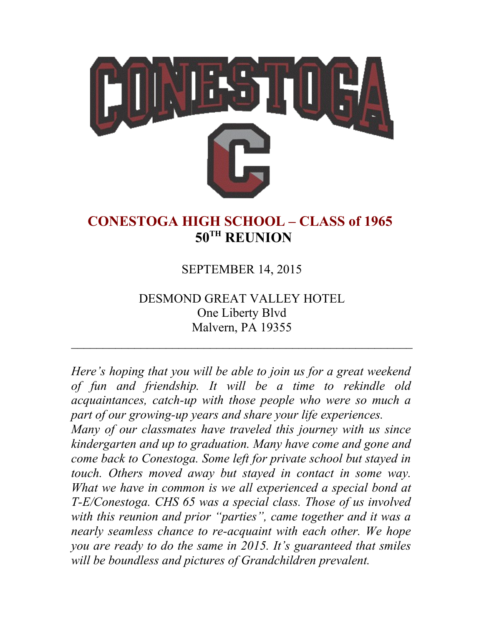

## **CONESTOGA HIGH SCHOOL – CLASS of 1965 50TH REUNION**

### SEPTEMBER 14, 2015

### DESMOND GREAT VALLEY HOTEL One Liberty Blvd Malvern, PA 19355

 $\mathcal{L}_\text{max}$  , and the contract of the contract of the contract of the contract of the contract of the contract of the contract of the contract of the contract of the contract of the contract of the contract of the contr

*Here's hoping that you will be able to join us for a great weekend of fun and friendship. It will be a time to rekindle old acquaintances, catch-up with those people who were so much a part of our growing-up years and share your life experiences.*

*Many of our classmates have traveled this journey with us since kindergarten and up to graduation. Many have come and gone and come back to Conestoga. Some left for private school but stayed in touch. Others moved away but stayed in contact in some way. What we have in common is we all experienced a special bond at T-E/Conestoga. CHS 65 was a special class. Those of us involved with this reunion and prior "parties", came together and it was a nearly seamless chance to re-acquaint with each other. We hope you are ready to do the same in 2015. It's guaranteed that smiles will be boundless and pictures of Grandchildren prevalent.*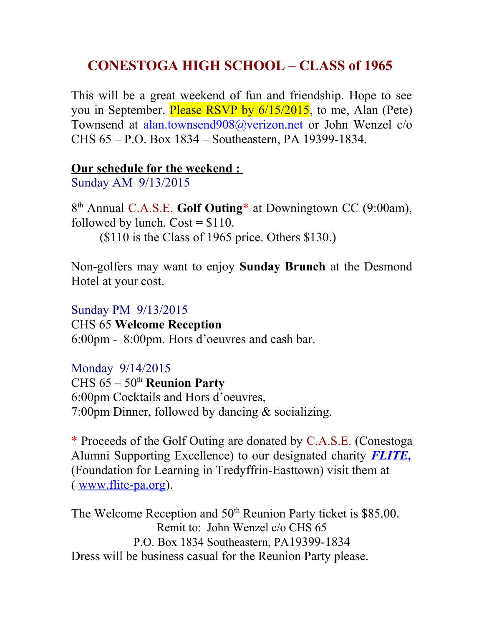## **CONESTOGA HIGH SCHOOL – CLASS of 1965**

This will be a great weekend of fun and friendship. Hope to see you in September. Please RSVP by  $6/15/2015$ , to me, Alan (Pete) Townsend at [alan.townsend908@verizon.net](mailto:alan.townsend908@verizon.net) or John Wenzel c/o CHS 65 – P.O. Box 1834 – Southeastern, PA 19399-1834.

#### **Our schedule for the weekend :**

Sunday AM 9/13/2015

8<sup>th</sup> Annual C.A.S.E. Golf Outing<sup>\*</sup> at Downingtown CC (9:00am), followed by lunch.  $Cost = $110$ .

(\$110 is the Class of 1965 price. Others \$130.)

Non-golfers may want to enjoy **Sunday Brunch** at the Desmond Hotel at your cost.

Sunday PM 9/13/2015 CHS 65 **Welcome Reception** 6:00pm - 8:00pm. Hors d'oeuvres and cash bar.

#### Monday 9/14/2015

CHS 65 – 50th **Reunion Party** 6:00pm Cocktails and Hors d'oeuvres, 7:00pm Dinner, followed by dancing & socializing.

\* Proceeds of the Golf Outing are donated by C.A.S.E. (Conestoga Alumni Supporting Excellence) to our designated charity *FLITE,* (Foundation for Learning in Tredyffrin-Easttown) visit them at ( [www.flite-pa.org\)](http://www.flite-pa.org/).

The Welcome Reception and 50<sup>th</sup> Reunion Party ticket is \$85.00. Remit to: John Wenzel c/o CHS 65 P.O. Box 1834 Southeastern, PA19399-1834 Dress will be business casual for the Reunion Party please.